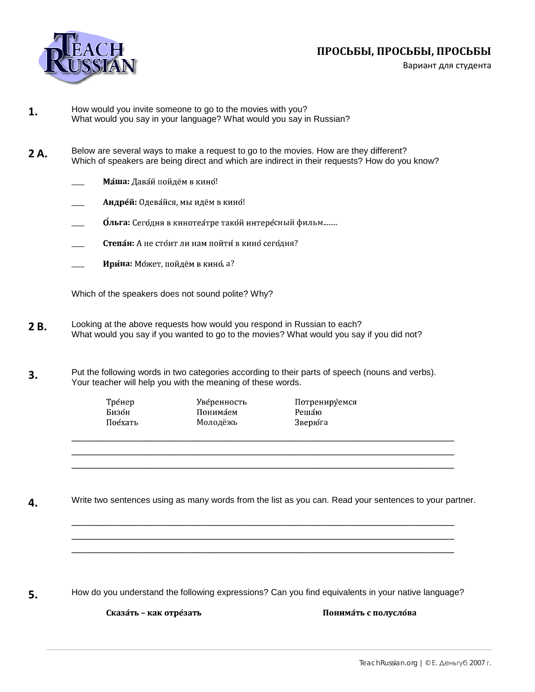

## ПРОСЬБЫ, ПРОСЬБЫ, ПРОСЬБЫ

Вариант для студента

- How would you invite someone to go to the movies with you? 1. What would you say in your language? What would you say in Russian?
- Below are several ways to make a request to go to the movies. How are they different? 2A. Which of speakers are being direct and which are indirect in their requests? How do you know?
	- Маша: Давай пойдём в кино!
	- Андрей: Одевайся, мы идём в кино!
	- Ольга: Сегодня в кинотеатре такой интересный фильм........
	- Степан: А не стоит ли нам пойти в кино сегодня?
	- Ирина: Может, пойдём в кино, а?

Which of the speakers does not sound polite? Why?

- Looking at the above requests how would you respond in Russian to each? 2B. What would you say if you wanted to go to the movies? What would you say if you did not?
- Put the following words in two categories according to their parts of speech (nouns and verbs).  $3.$ Your teacher will help you with the meaning of these words.
	- Тре́нер Бизо́н Пое́хать

Уве́ренность Понимаем Молодёжь

Потренируемся Решаю Зверю́га

Write two sentences using as many words from the list as you can. Read your sentences to your partner. 4.

5.

How do you understand the following expressions? Can you find equivalents in your native language?

Сказа́ть - как отре́зать

Понимать с полуслова